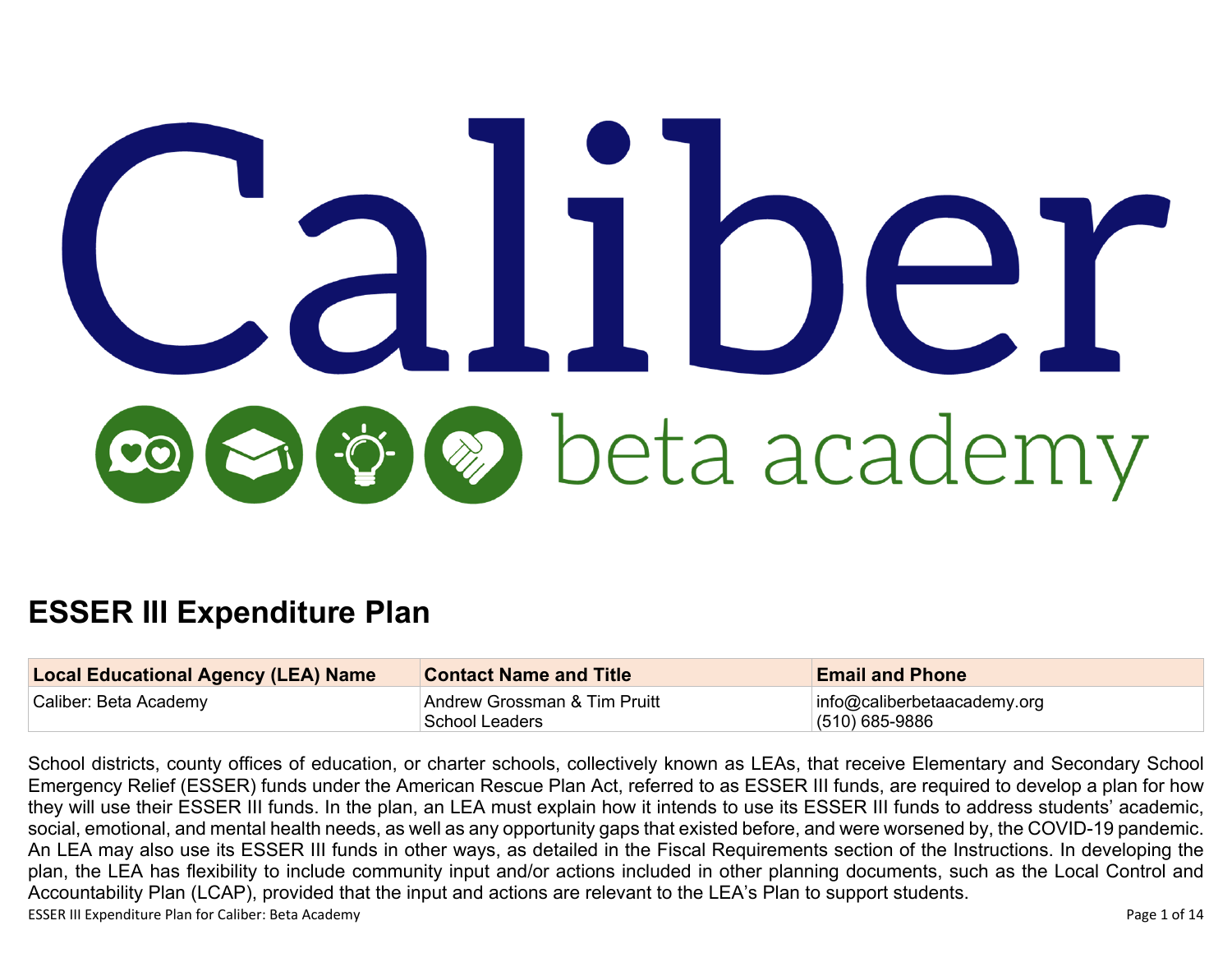# r Soleta academy

# **ESSER III Expenditure Plan**

| <b>Local Educational Agency (LEA) Name</b> | <b>Contact Name and Title</b>                  | <b>Email and Phone</b>                              |
|--------------------------------------------|------------------------------------------------|-----------------------------------------------------|
| Caliber: Beta Academy                      | Andrew Grossman & Tim Pruitt<br>School Leaders | $ $ info@caliberbetaacademy.org<br>$(510)$ 685-9886 |

ESSER III Expenditure Plan for Caliber: Beta Academy **Page 1 of 14** Page 1 of 14 School districts, county offices of education, or charter schools, collectively known as LEAs, that receive Elementary and Secondary School Emergency Relief (ESSER) funds under the American Rescue Plan Act, referred to as ESSER III funds, are required to develop a plan for how they will use their ESSER III funds. In the plan, an LEA must explain how it intends to use its ESSER III funds to address students' academic, social, emotional, and mental health needs, as well as any opportunity gaps that existed before, and were worsened by, the COVID-19 pandemic. An LEA may also use its ESSER III funds in other ways, as detailed in the Fiscal Requirements section of the Instructions. In developing the plan, the LEA has flexibility to include community input and/or actions included in other planning documents, such as the Local Control and Accountability Plan (LCAP), provided that the input and actions are relevant to the LEA's Plan to support students.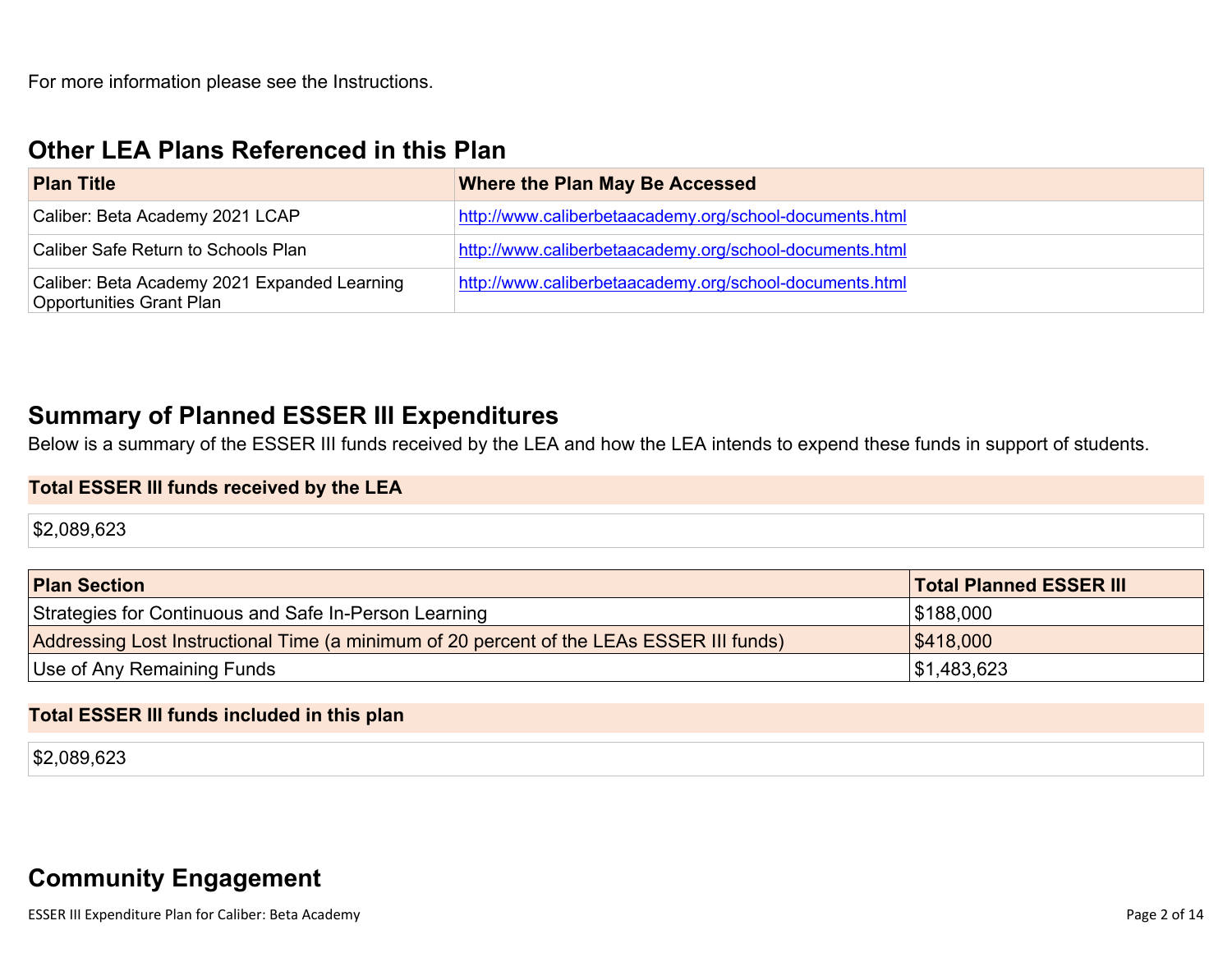For more information please see the Instructions.

### **Other LEA Plans [Referenced](#page-8-0) in this Plan**

| <b>Plan Title</b>                                                        | Where the Plan May Be Accessed                          |
|--------------------------------------------------------------------------|---------------------------------------------------------|
| Caliber: Beta Academy 2021 LCAP                                          | http://www.caliberbetaacademy.org/school-documents.html |
| Caliber Safe Return to Schools Plan                                      | http://www.caliberbetaacademy.org/school-documents.html |
| Caliber: Beta Academy 2021 Expanded Learning<br>Opportunities Grant Plan | http://www.caliberbetaacademy.org/school-documents.html |

## **Summary of Planned ESSER III [Expenditures](#page-8-1)**

Below is a summary of the ESSER III funds received by the LEA and how the LEA intends to expend these funds in support of students.

#### **Total ESSER III funds received by the LEA**

\$2,089,623

| <b>Plan Section</b>                                                                      | <b>Total Planned ESSER III</b> |
|------------------------------------------------------------------------------------------|--------------------------------|
| Strategies for Continuous and Safe In-Person Learning                                    | \$188,000                      |
| Addressing Lost Instructional Time (a minimum of 20 percent of the LEAs ESSER III funds) | \$418,000                      |
| Use of Any Remaining Funds                                                               | ∫\$1,483,623                   |

#### **Total ESSER III funds included in this plan**

\$2,089,623

# **Community [Engagement](#page-9-0)**

ESSER III Expenditure Plan for Caliber: Beta Academy **Page 2 of 14** and the state of the state of the page 2 of 14 and the state of the state of the page 2 of 14 and the state of the state of the state of the state of the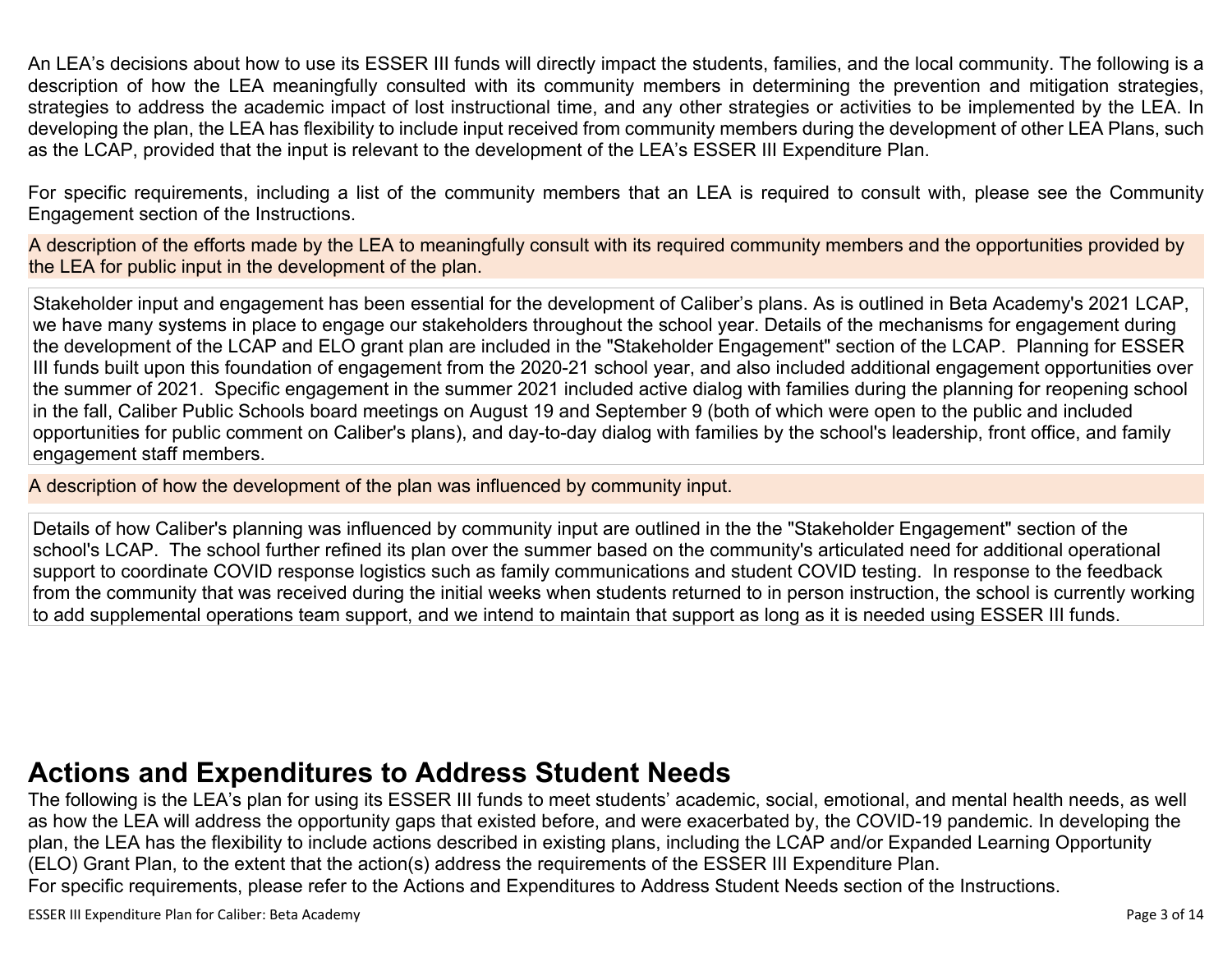An LEA's decisions about how to use its ESSER III funds will directly impact the students, families, and the local community. The following is a description of how the LEA meaningfully consulted with its community members in determining the prevention and mitigation strategies, strategies to address the academic impact of lost instructional time, and any other strategies or activities to be implemented by the LEA. In developing the plan, the LEA has flexibility to include input received from community members during the development of other LEA Plans, such as the LCAP, provided that the input is relevant to the development of the LEA's ESSER III Expenditure Plan.

For specific requirements, including a list of the community members that an LEA is required to consult with, please see the Community Engagement section of the Instructions.

A description of the efforts made by the LEA to meaningfully consult with its required community members and the opportunities provided by the LEA for public input in the development of the plan.

Stakeholder input and engagement has been essential for the development of Caliber's plans. As is outlined in Beta Academy's 2021 LCAP, we have many systems in place to engage our stakeholders throughout the school year. Details of the mechanisms for engagement during the development of the LCAP and ELO grant plan are included in the "Stakeholder Engagement" section of the LCAP. Planning for ESSER III funds built upon this foundation of engagement from the 2020-21 school year, and also included additional engagement opportunities over the summer of 2021. Specific engagement in the summer 2021 included active dialog with families during the planning for reopening school in the fall, Caliber Public Schools board meetings on August 19 and September 9 (both of which were open to the public and included opportunities for public comment on Caliber's plans), and day-to-day dialog with families by the school's leadership, front office, and family engagement staff members.

A description of how the development of the plan was influenced by community input.

Details of how Caliber's planning was influenced by community input are outlined in the the "Stakeholder Engagement" section of the school's LCAP. The school further refined its plan over the summer based on the community's articulated need for additional operational support to coordinate COVID response logistics such as family communications and student COVID testing. In response to the feedback from the community that was received during the initial weeks when students returned to in person instruction, the school is currently working to add supplemental operations team support, and we intend to maintain that support as long as it is needed using ESSER III funds.

# **Actions and [Expenditures](#page-11-0) to Address Student Needs**

The following is the LEA's plan for using its ESSER III funds to meet students' academic, social, emotional, and mental health needs, as well as how the LEA will address the opportunity gaps that existed before, and were exacerbated by, the COVID-19 pandemic. In developing the plan, the LEA has the flexibility to include actions described in existing plans, including the LCAP and/or Expanded Learning Opportunity (ELO) Grant Plan, to the extent that the action(s) address the requirements of the ESSER III Expenditure Plan. For specific requirements, please refer to the Actions and Expenditures to Address Student Needs section of the Instructions.

ESSER III Expenditure Plan for Caliber: Beta Academy **Page 3 of 14** Page 3 of 14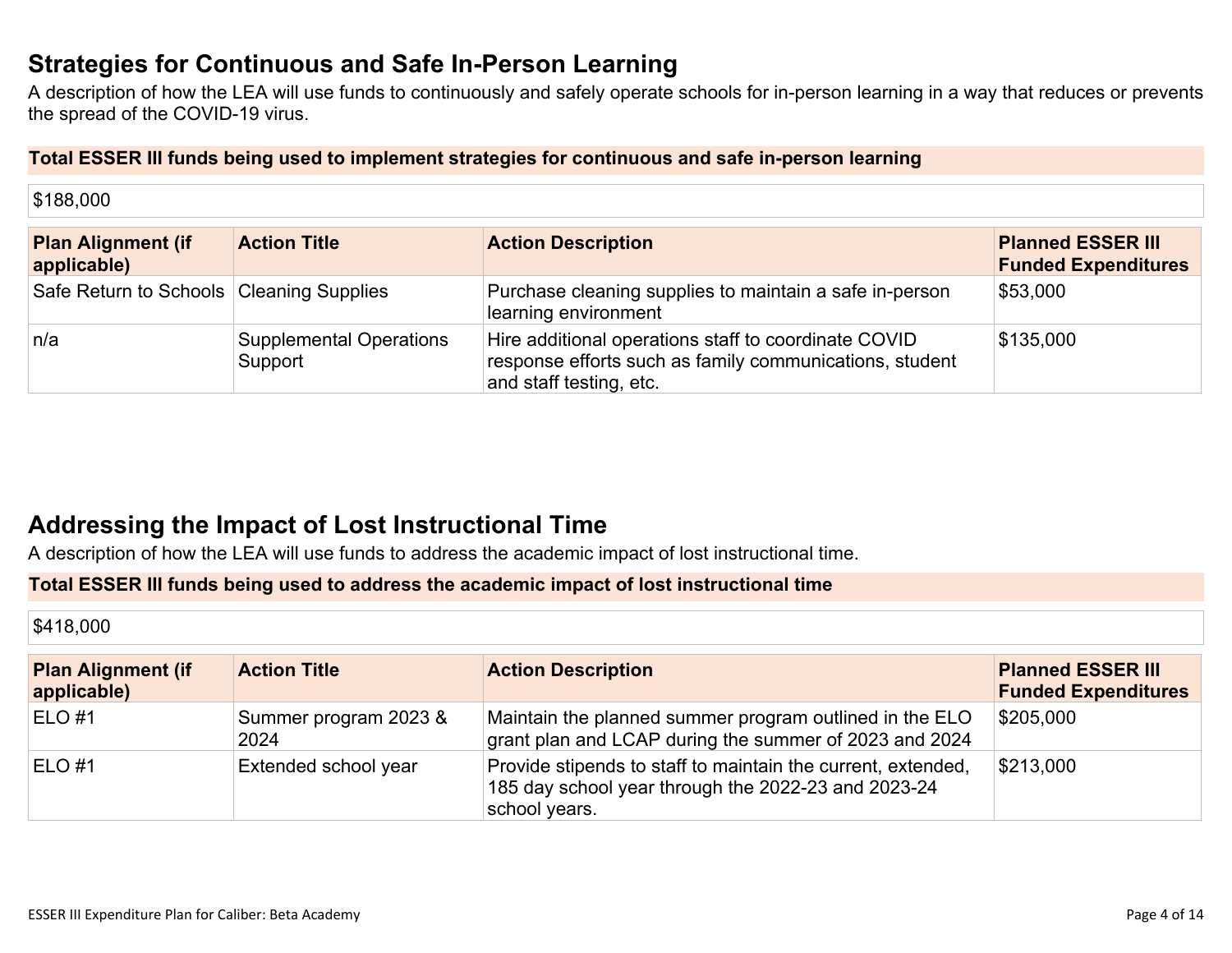## **Strategies for [Continuous](#page-11-1) and Safe In-Person Learning**

A description of how the LEA will use funds to continuously and safely operate schools for in-person learning in a way that reduces or prevents the spread of the COVID-19 virus.

#### **Total ESSER III funds being used to implement strategies for continuous and safe in-person learning**

| \$188,000                                  |                                           |                                                                                                                                            |                                                        |
|--------------------------------------------|-------------------------------------------|--------------------------------------------------------------------------------------------------------------------------------------------|--------------------------------------------------------|
| <b>Plan Alignment (if</b><br>applicable)   | <b>Action Title</b>                       | <b>Action Description</b>                                                                                                                  | <b>Planned ESSER III</b><br><b>Funded Expenditures</b> |
| Safe Return to Schools   Cleaning Supplies |                                           | Purchase cleaning supplies to maintain a safe in-person<br>learning environment                                                            | \$53,000                                               |
| n/a                                        | <b>Supplemental Operations</b><br>Support | Hire additional operations staff to coordinate COVID<br>response efforts such as family communications, student<br>and staff testing, etc. | \$135,000                                              |

# **Addressing the Impact of Lost [Instructional](#page-12-0) Tim[e](#page-12-0)**

A description of how the LEA will use funds to address the academic impact of lost instructional time.

#### **Total ESSER III funds being used to address the academic impact of lost instructional time**

| \$418,000                                |                               |                                                                                                                                      |                                                        |
|------------------------------------------|-------------------------------|--------------------------------------------------------------------------------------------------------------------------------------|--------------------------------------------------------|
| <b>Plan Alignment (if</b><br>applicable) | <b>Action Title</b>           | <b>Action Description</b>                                                                                                            | <b>Planned ESSER III</b><br><b>Funded Expenditures</b> |
| $ELO$ #1                                 | Summer program 2023 &<br>2024 | Maintain the planned summer program outlined in the ELO<br>grant plan and LCAP during the summer of 2023 and 2024                    | \$205,000                                              |
| $ELO$ #1                                 | Extended school year          | Provide stipends to staff to maintain the current, extended,<br>185 day school year through the 2022-23 and 2023-24<br>school years. | \$213,000                                              |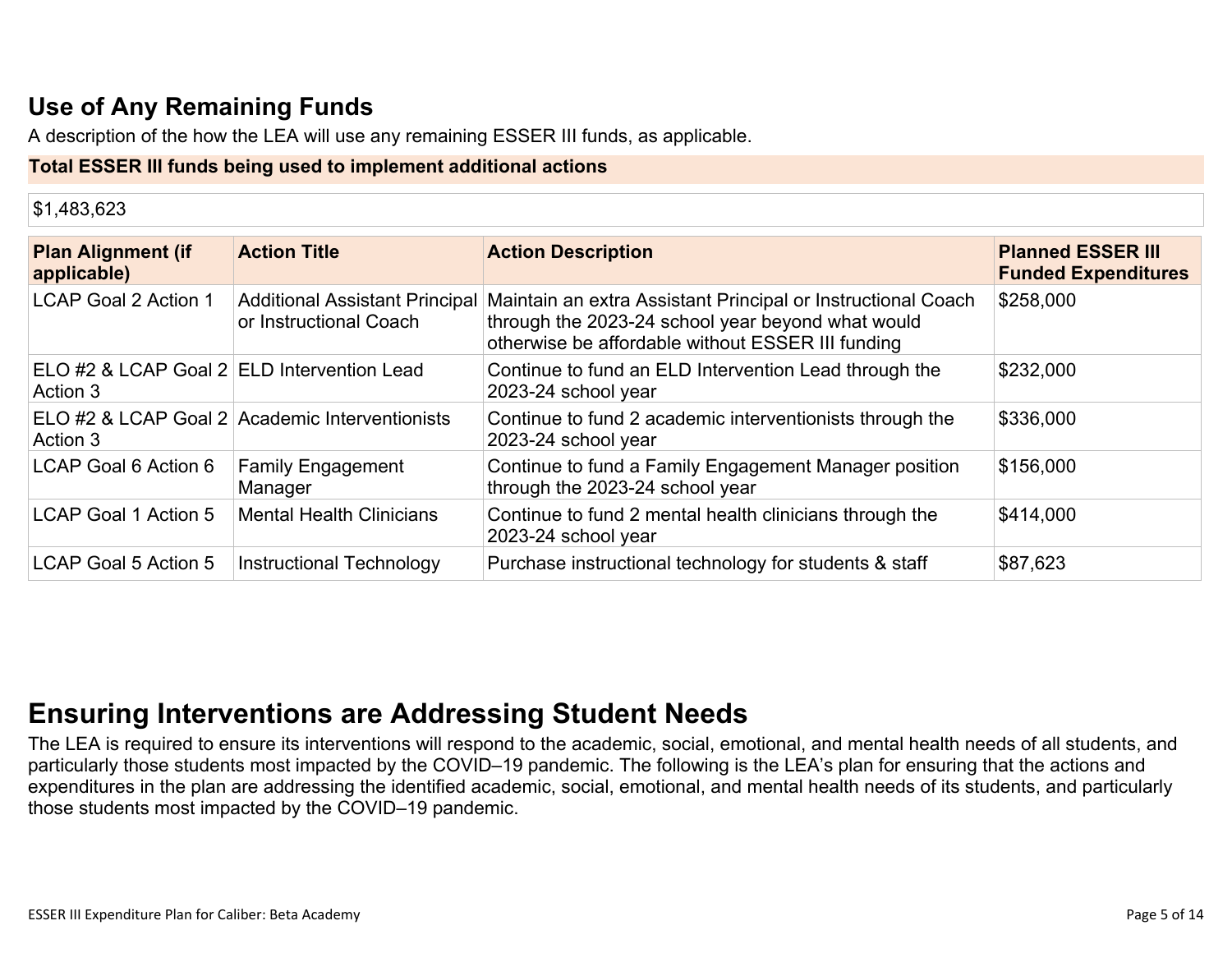# **Use of Any [Remaining](#page-12-1) Fund[s](#page-12-1)**

A description of the how the LEA will use any remaining ESSER III funds, as applicable.

#### **Total ESSER III funds being used to implement additional actions**

| \$1,483,623                                            |                                                |                                                                                                                                                                                                       |                                                        |
|--------------------------------------------------------|------------------------------------------------|-------------------------------------------------------------------------------------------------------------------------------------------------------------------------------------------------------|--------------------------------------------------------|
| <b>Plan Alignment (if</b><br>applicable)               | <b>Action Title</b>                            | <b>Action Description</b>                                                                                                                                                                             | <b>Planned ESSER III</b><br><b>Funded Expenditures</b> |
| <b>LCAP Goal 2 Action 1</b>                            | or Instructional Coach                         | Additional Assistant Principal Maintain an extra Assistant Principal or Instructional Coach<br>through the 2023-24 school year beyond what would<br>otherwise be affordable without ESSER III funding | \$258,000                                              |
| ELO #2 & LCAP Goal 2 ELD Intervention Lead<br>Action 3 |                                                | Continue to fund an ELD Intervention Lead through the<br>2023-24 school year                                                                                                                          | \$232,000                                              |
| Action 3                                               | ELO #2 & LCAP Goal 2 Academic Interventionists | Continue to fund 2 academic interventionists through the<br>2023-24 school year                                                                                                                       | \$336,000                                              |
| LCAP Goal 6 Action 6                                   | <b>Family Engagement</b><br>Manager            | Continue to fund a Family Engagement Manager position<br>through the 2023-24 school year                                                                                                              | \$156,000                                              |
| <b>LCAP Goal 1 Action 5</b>                            | <b>Mental Health Clinicians</b>                | Continue to fund 2 mental health clinicians through the<br>2023-24 school year                                                                                                                        | \$414,000                                              |
| <b>LCAP Goal 5 Action 5</b>                            | Instructional Technology                       | Purchase instructional technology for students & staff                                                                                                                                                | \$87,623                                               |

# **Ensuring [Interventions](#page-12-2) are Addressing Student Need[s](#page-12-2)**

The LEA is required to ensure its interventions will respond to the academic, social, emotional, and mental health needs of all students, and particularly those students most impacted by the COVID–19 pandemic. The following is the LEA's plan for ensuring that the actions and expenditures in the plan are addressing the identified academic, social, emotional, and mental health needs of its students, and particularly those students most impacted by the COVID–19 pandemic.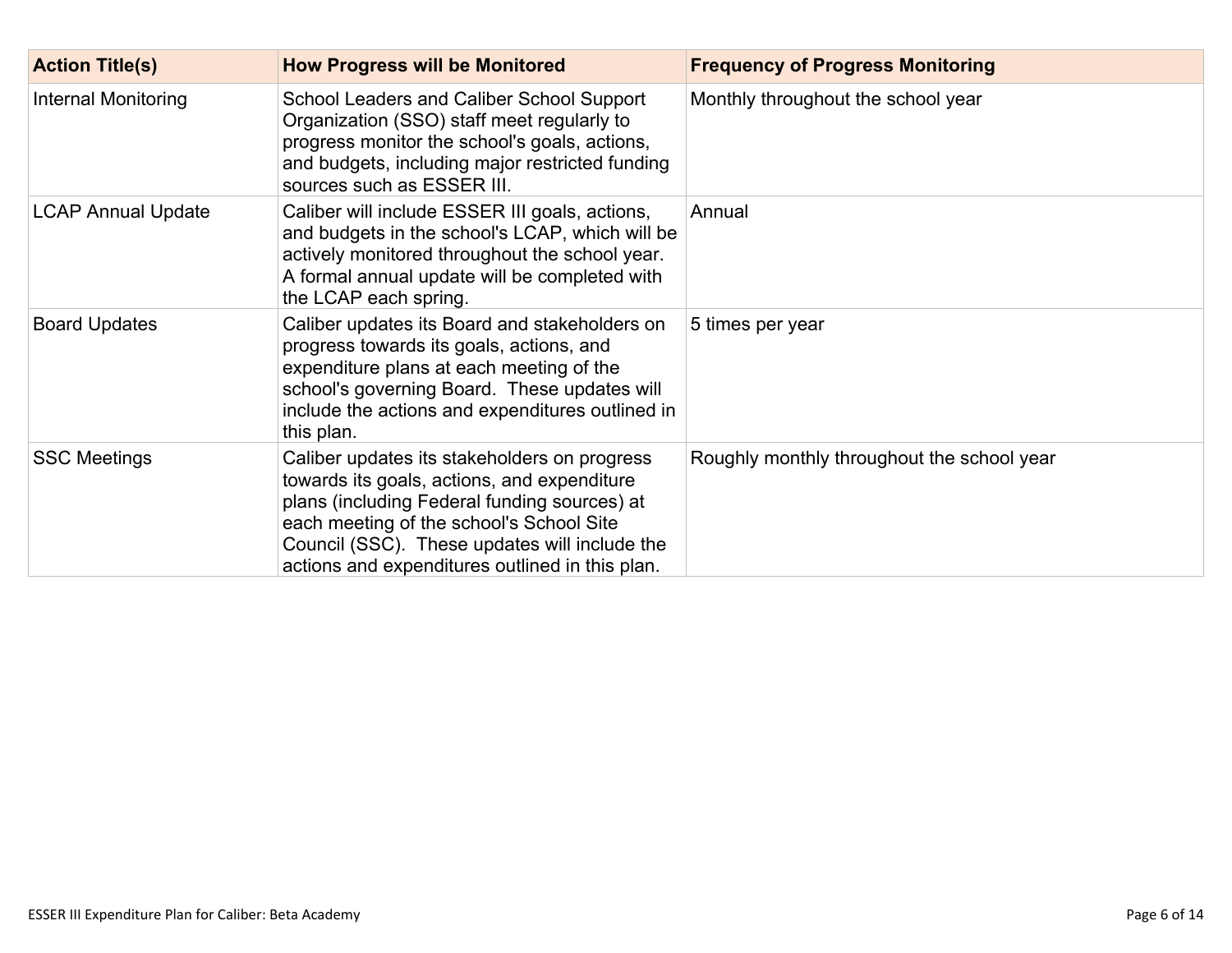| <b>Action Title(s)</b>     | <b>How Progress will be Monitored</b>                                                                                                                                                                                                                                                       | <b>Frequency of Progress Monitoring</b>    |
|----------------------------|---------------------------------------------------------------------------------------------------------------------------------------------------------------------------------------------------------------------------------------------------------------------------------------------|--------------------------------------------|
| <b>Internal Monitoring</b> | School Leaders and Caliber School Support<br>Organization (SSO) staff meet regularly to<br>progress monitor the school's goals, actions,<br>and budgets, including major restricted funding<br>sources such as ESSER III.                                                                   | Monthly throughout the school year         |
| <b>LCAP Annual Update</b>  | Caliber will include ESSER III goals, actions,<br>and budgets in the school's LCAP, which will be<br>actively monitored throughout the school year.<br>A formal annual update will be completed with<br>the LCAP each spring.                                                               | Annual                                     |
| <b>Board Updates</b>       | Caliber updates its Board and stakeholders on<br>progress towards its goals, actions, and<br>expenditure plans at each meeting of the<br>school's governing Board. These updates will<br>include the actions and expenditures outlined in<br>this plan.                                     | 5 times per year                           |
| <b>SSC Meetings</b>        | Caliber updates its stakeholders on progress<br>towards its goals, actions, and expenditure<br>plans (including Federal funding sources) at<br>each meeting of the school's School Site<br>Council (SSC). These updates will include the<br>actions and expenditures outlined in this plan. | Roughly monthly throughout the school year |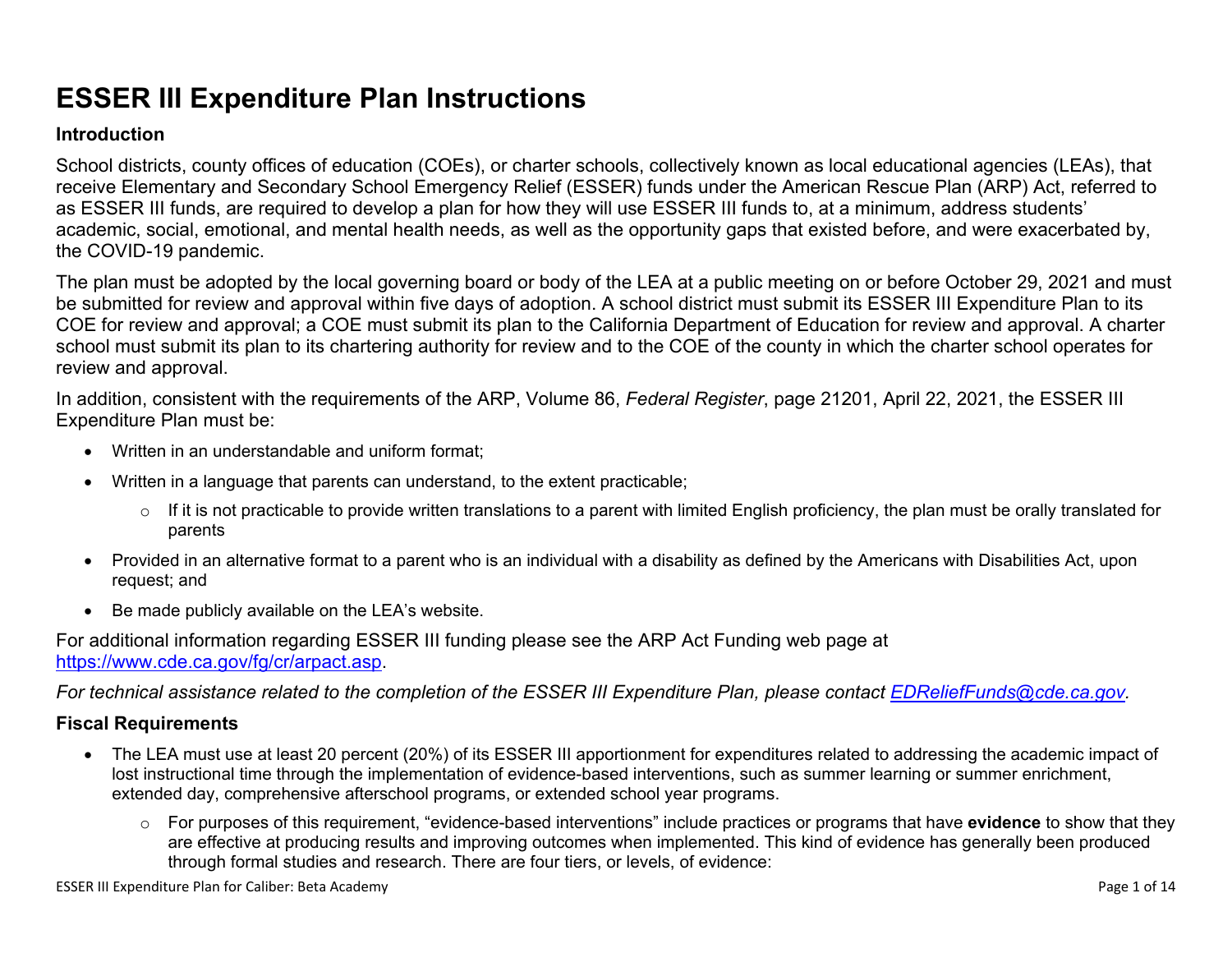# **ESSER III Expenditure Plan Instructions**

#### **Introduction**

School districts, county offices of education (COEs), or charter schools, collectively known as local educational agencies (LEAs), that receive Elementary and Secondary School Emergency Relief (ESSER) funds under the American Rescue Plan (ARP) Act, referred to as ESSER III funds, are required to develop a plan for how they will use ESSER III funds to, at a minimum, address students' academic, social, emotional, and mental health needs, as well as the opportunity gaps that existed before, and were exacerbated by, the COVID-19 pandemic.

The plan must be adopted by the local governing board or body of the LEA at a public meeting on or before October 29, 2021 and must be submitted for review and approval within five days of adoption. A school district must submit its ESSER III Expenditure Plan to its COE for review and approval; a COE must submit its plan to the California Department of Education for review and approval. A charter school must submit its plan to its chartering authority for review and to the COE of the county in which the charter school operates for review and approval.

In addition, consistent with the requirements of the ARP, Volume 86, *Federal Register*, page 21201, April 22, 2021, the ESSER III Expenditure Plan must be:

- Written in an understandable and uniform format;
- Written in a language that parents can understand, to the extent practicable;
	- $\circ$  If it is not practicable to provide written translations to a parent with limited English proficiency, the plan must be orally translated for parents
- Provided in an alternative format to a parent who is an individual with a disability as defined by the Americans with Disabilities Act, upon request; and
- Be made publicly available on the LEA's website.

For additional information regarding ESSER III funding please see the ARP Act Funding web page at <https://www.cde.ca.gov/fg/cr/arpact.asp>.

For technical assistance related to the completion of the ESSER III Expenditure Plan, please contact [EDReliefFunds@cde.ca.gov](mailto:EDReliefFunds@cde.ca.gov).

#### **Fiscal Requirements**

- The LEA must use at least 20 percent (20%) of its ESSER III apportionment for expenditures related to addressing the academic impact of lost instructional time through the implementation of evidence-based interventions, such as summer learning or summer enrichment, extended day, comprehensive afterschool programs, or extended school year programs.
	- o For purposes of this requirement, "evidence-based interventions" include practices or programs that have **evidence** to show that they are effective at producing results and improving outcomes when implemented. This kind of evidence has generally been produced through formal studies and research. There are four tiers, or levels, of evidence: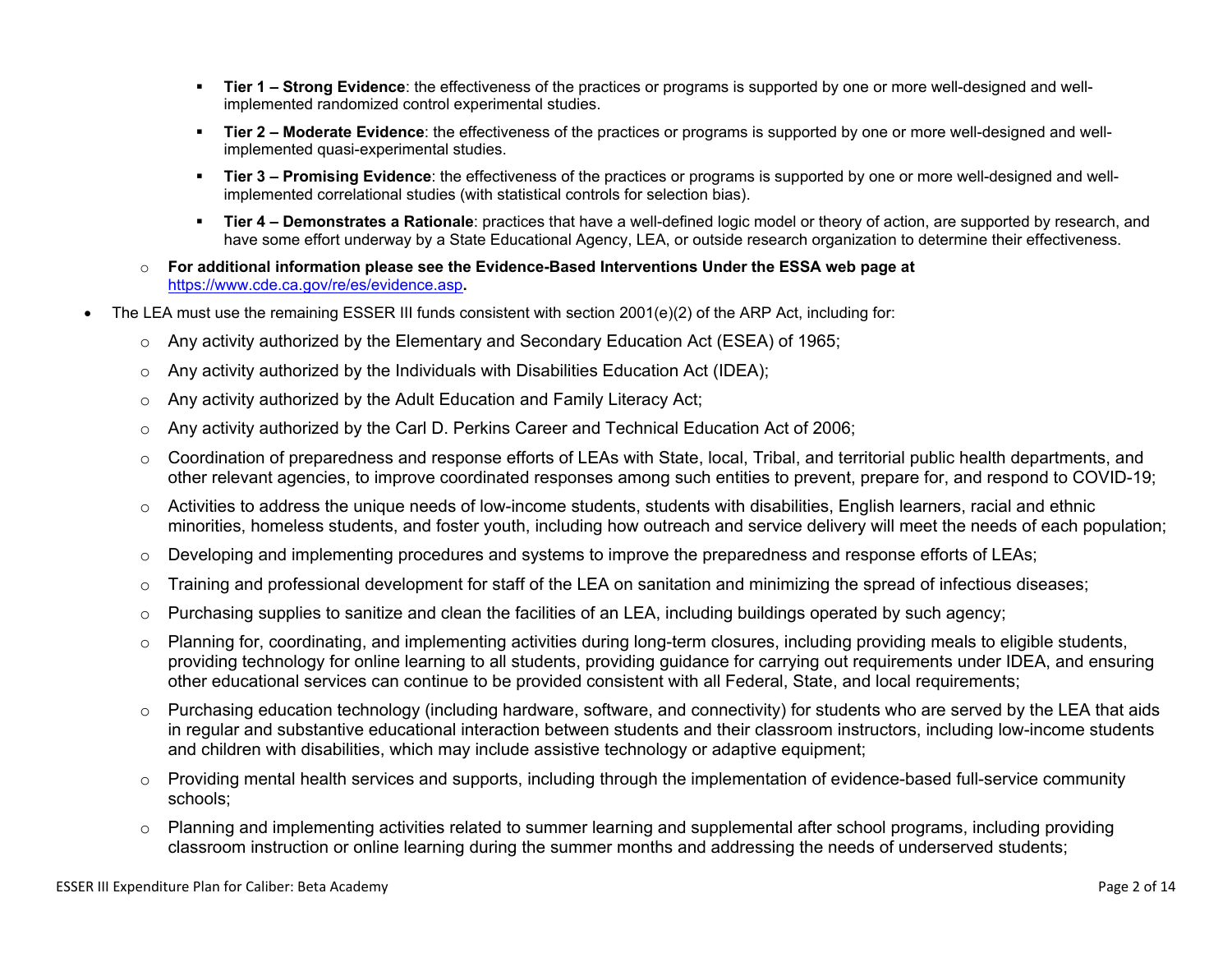- **Tier 1 – Strong Evidence**: the effectiveness of the practices or programs is supported by one or more well-designed and wellimplemented randomized control experimental studies.
- **Tier 2 – Moderate Evidence**: the effectiveness of the practices or programs is supported by one or more well-designed and wellimplemented quasi-experimental studies.
- **Tier 3 – Promising Evidence**: the effectiveness of the practices or programs is supported by one or more well-designed and wellimplemented correlational studies (with statistical controls for selection bias).
- **Tier 4 – Demonstrates a Rationale**: practices that have a well-defined logic model or theory of action, are supported by research, and have some effort underway by a State Educational Agency, LEA, or outside research organization to determine their effectiveness.
- o **For additional information please see the Evidence-Based Interventions Under the ESSA web page at** <https://www.cde.ca.gov/re/es/evidence.asp>**.**
- The LEA must use the remaining ESSER III funds consistent with section 2001(e)(2) of the ARP Act, including for:
	- $\circ$  Any activity authorized by the Elementary and Secondary Education Act (ESEA) of 1965;
	- $\circ$  Any activity authorized by the Individuals with Disabilities Education Act (IDEA);
	- o Any activity authorized by the Adult Education and Family Literacy Act;
	- $\circ$  Any activity authorized by the Carl D. Perkins Career and Technical Education Act of 2006;
	- $\circ$  Coordination of preparedness and response efforts of LEAs with State, local, Tribal, and territorial public health departments, and other relevant agencies, to improve coordinated responses among such entities to prevent, prepare for, and respond to COVID-19;
	- $\circ$  Activities to address the unique needs of low-income students, students with disabilities, English learners, racial and ethnic minorities, homeless students, and foster youth, including how outreach and service delivery will meet the needs of each population;
	- o Developing and implementing procedures and systems to improve the preparedness and response efforts of LEAs;
	- $\circ$  Training and professional development for staff of the LEA on sanitation and minimizing the spread of infectious diseases;
	- $\circ$  Purchasing supplies to sanitize and clean the facilities of an LEA, including buildings operated by such agency;
	- $\circ$  Planning for, coordinating, and implementing activities during long-term closures, including providing meals to eligible students, providing technology for online learning to all students, providing guidance for carrying out requirements under IDEA, and ensuring other educational services can continue to be provided consistent with all Federal, State, and local requirements;
	- $\circ$  Purchasing education technology (including hardware, software, and connectivity) for students who are served by the LEA that aids in regular and substantive educational interaction between students and their classroom instructors, including low-income students and children with disabilities, which may include assistive technology or adaptive equipment;
	- $\circ$  Providing mental health services and supports, including through the implementation of evidence-based full-service community schools;
	- o Planning and implementing activities related to summer learning and supplemental after school programs, including providing classroom instruction or online learning during the summer months and addressing the needs of underserved students;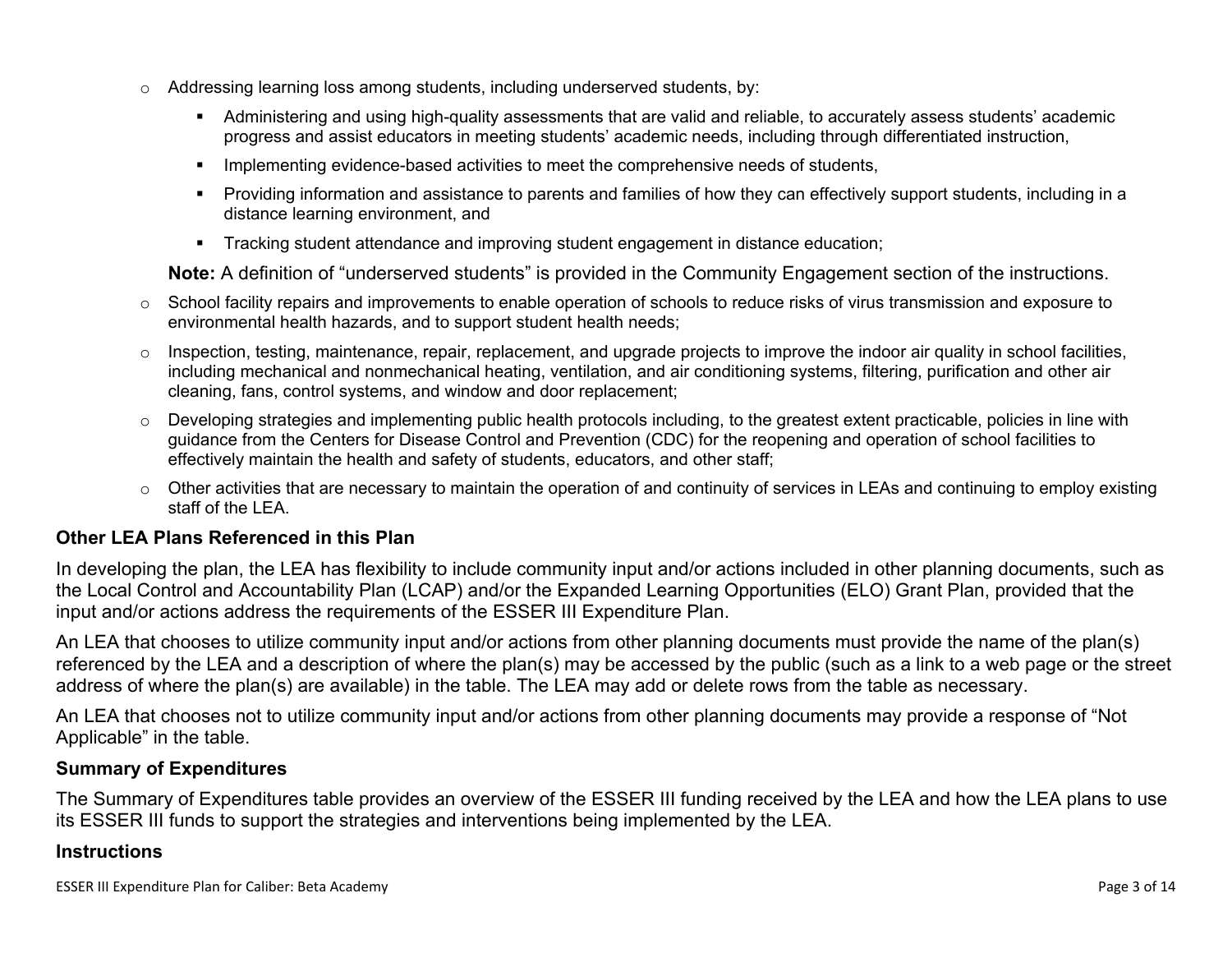- $\circ$  Addressing learning loss among students, including underserved students, by:
	- Administering and using high-quality assessments that are valid and reliable, to accurately assess students' academic progress and assist educators in meeting students' academic needs, including through differentiated instruction,
	- **IMPLEMENTER IMPLEMENT LIME STARK IMPLEMENT IMPLEMENT IMPLY** Implementing evidents,
	- Providing information and assistance to parents and families of how they can effectively support students, including in a distance learning environment, and
	- Tracking student attendance and improving student engagement in distance education;

**Note:** A definition of "underserved students" is provided in the Community Engagement section of the instructions.

- $\circ$  School facility repairs and improvements to enable operation of schools to reduce risks of virus transmission and exposure to environmental health hazards, and to support student health needs;
- $\circ$  Inspection, testing, maintenance, repair, replacement, and upgrade projects to improve the indoor air quality in school facilities, including mechanical and nonmechanical heating, ventilation, and air conditioning systems, filtering, purification and other air cleaning, fans, control systems, and window and door replacement;
- $\circ$  Developing strategies and implementing public health protocols including, to the greatest extent practicable, policies in line with guidance from the Centers for Disease Control and Prevention (CDC) for the reopening and operation of school facilities to effectively maintain the health and safety of students, educators, and other staff;
- $\circ$  Other activities that are necessary to maintain the operation of and continuity of services in LEAs and continuing to employ existing staff of the LEA.

#### <span id="page-8-0"></span>**Other LEA Plans Referenced in this Plan**

In developing the plan, the LEA has flexibility to include community input and/or actions included in other planning documents, such as the Local Control and Accountability Plan (LCAP) and/or the Expanded Learning Opportunities (ELO) Grant Plan, provided that the input and/or actions address the requirements of the ESSER III Expenditure Plan.

An LEA that chooses to utilize community input and/or actions from other planning documents must provide the name of the plan(s) referenced by the LEA and a description of where the plan(s) may be accessed by the public (such as a link to a web page or the street address of where the plan(s) are available) in the table. The LEA may add or delete rows from the table as necessary.

An LEA that chooses not to utilize community input and/or actions from other planning documents may provide a response of "Not Applicable" in the table.

#### <span id="page-8-1"></span>**Summary of Expenditures**

The Summary of Expenditures table provides an overview of the ESSER III funding received by the LEA and how the LEA plans to use its ESSER III funds to support the strategies and interventions being implemented by the LEA.

#### **Instructions**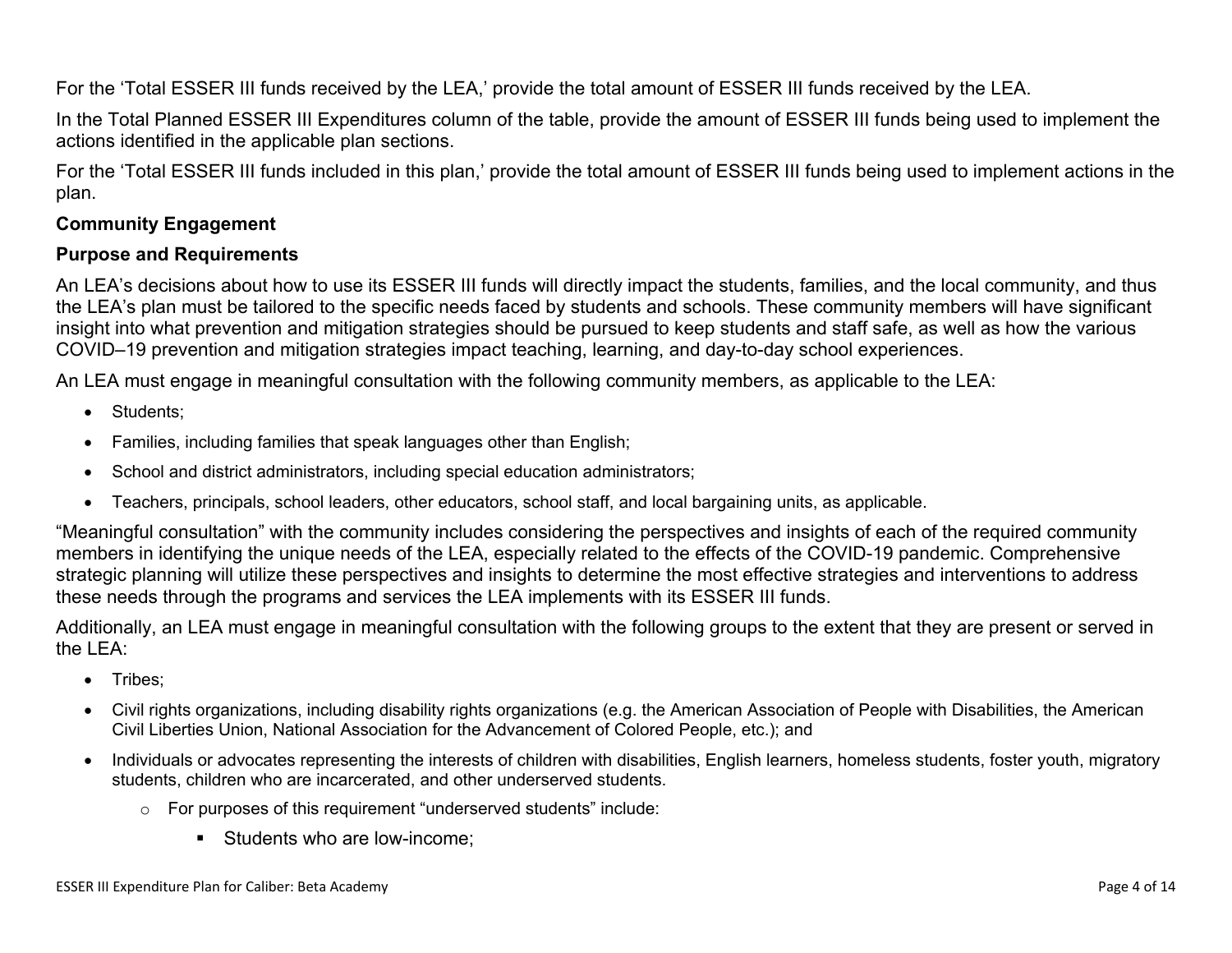For the 'Total ESSER III funds received by the LEA,' provide the total amount of ESSER III funds received by the LEA.

In the Total Planned ESSER III Expenditures column of the table, provide the amount of ESSER III funds being used to implement the actions identified in the applicable plan sections.

For the 'Total ESSER III funds included in this plan,' provide the total amount of ESSER III funds being used to implement actions in the plan.

#### <span id="page-9-0"></span>**Community Engagement**

#### **Purpose and Requirements**

An LEA's decisions about how to use its ESSER III funds will directly impact the students, families, and the local community, and thus the LEA's plan must be tailored to the specific needs faced by students and schools. These community members will have significant insight into what prevention and mitigation strategies should be pursued to keep students and staff safe, as well as how the various COVID–19 prevention and mitigation strategies impact teaching, learning, and day-to-day school experiences.

An LEA must engage in meaningful consultation with the following community members, as applicable to the LEA:

- Students:
- Families, including families that speak languages other than English;
- School and district administrators, including special education administrators;
- Teachers, principals, school leaders, other educators, school staff, and local bargaining units, as applicable.

"Meaningful consultation" with the community includes considering the perspectives and insights of each of the required community members in identifying the unique needs of the LEA, especially related to the effects of the COVID-19 pandemic. Comprehensive strategic planning will utilize these perspectives and insights to determine the most effective strategies and interventions to address these needs through the programs and services the LEA implements with its ESSER III funds.

Additionally, an LEA must engage in meaningful consultation with the following groups to the extent that they are present or served in the LEA:

- Tribes;
- Civil rights organizations, including disability rights organizations (e.g. the American Association of People with Disabilities, the American Civil Liberties Union, National Association for the Advancement of Colored People, etc.); and
- Individuals or advocates representing the interests of children with disabilities, English learners, homeless students, foster youth, migratory students, children who are incarcerated, and other underserved students.
	- o For purposes of this requirement "underserved students" include:
		- Students who are low-income: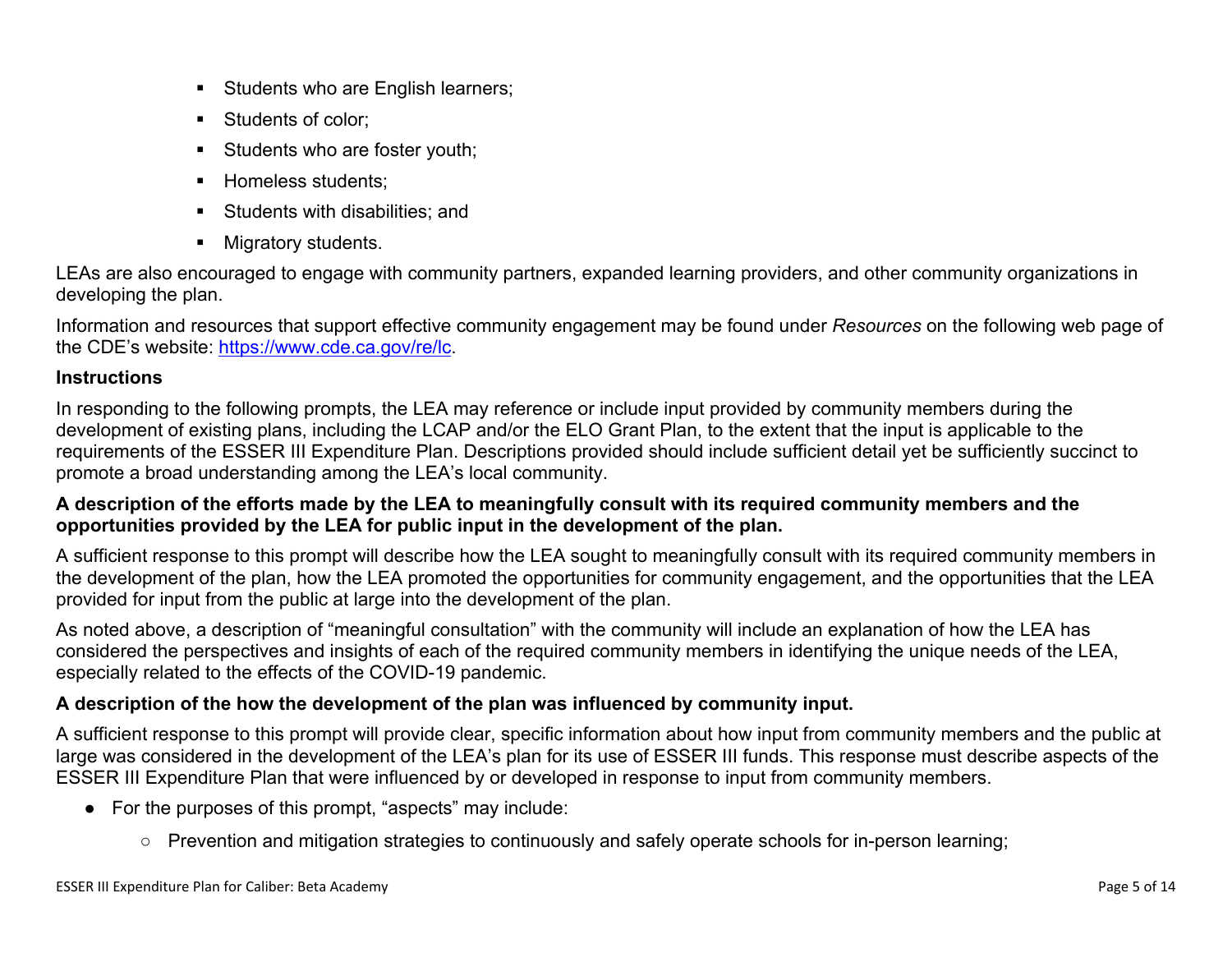- Students who are English learners;
- Students of color:
- Students who are foster youth;
- Homeless students;
- **Students with disabilities: and**
- **Migratory students.**

LEAs are also encouraged to engage with community partners, expanded learning providers, and other community organizations in developing the plan.

Information and resources that support effective community engagement may be found under *Resources* on the following web page of the CDE's website: <https://www.cde.ca.gov/re/lc>.

#### **Instructions**

In responding to the following prompts, the LEA may reference or include input provided by community members during the development of existing plans, including the LCAP and/or the ELO Grant Plan, to the extent that the input is applicable to the requirements of the ESSER III Expenditure Plan. Descriptions provided should include sufficient detail yet be sufficiently succinct to promote a broad understanding among the LEA's local community.

#### A description of the efforts made by the LEA to meaningfully consult with its required community members and the **opportunities provided by the LEA for public input in the development of the plan.**

A sufficient response to this prompt will describe how the LEA sought to meaningfully consult with its required community members in the development of the plan, how the LEA promoted the opportunities for community engagement, and the opportunities that the LEA provided for input from the public at large into the development of the plan.

As noted above, a description of "meaningful consultation" with the community will include an explanation of how the LEA has considered the perspectives and insights of each of the required community members in identifying the unique needs of the LEA, especially related to the effects of the COVID-19 pandemic.

#### **A description of the how the development of the plan was influenced by community input.**

A sufficient response to this prompt will provide clear, specific information about how input from community members and the public at large was considered in the development of the LEA's plan for its use of ESSER III funds. This response must describe aspects of the ESSER III Expenditure Plan that were influenced by or developed in response to input from community members.

- For the purposes of this prompt, "aspects" may include:
	- Prevention and mitigation strategies to continuously and safely operate schools for in-person learning;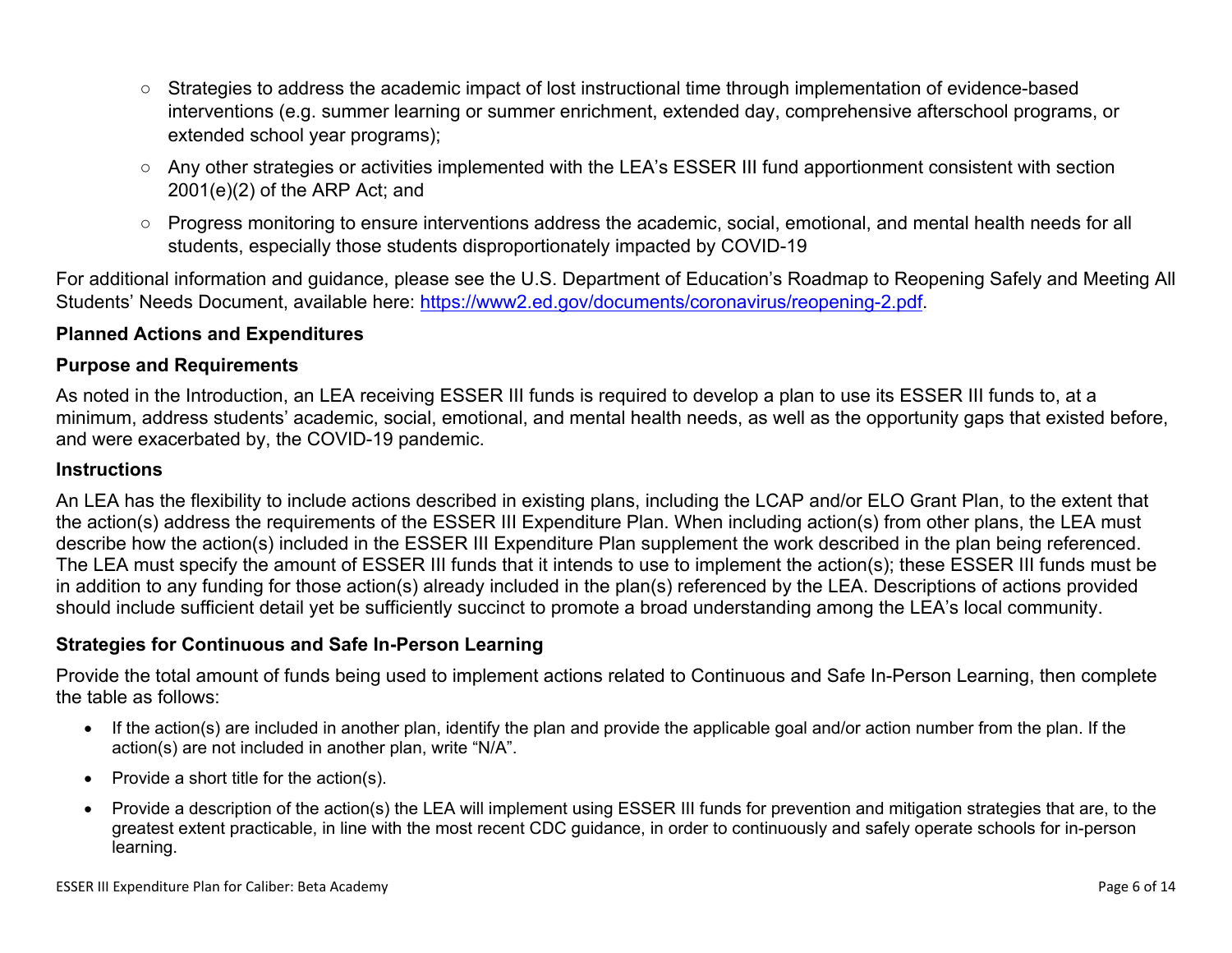- Strategies to address the academic impact of lost instructional time through implementation of evidence-based interventions (e.g. summer learning or summer enrichment, extended day, comprehensive afterschool programs, or extended school year programs);
- Any other strategies or activities implemented with the LEA's ESSER III fund apportionment consistent with section 2001(e)(2) of the ARP Act; and
- Progress monitoring to ensure interventions address the academic, social, emotional, and mental health needs for all students, especially those students disproportionately impacted by COVID-19

For additional information and guidance, please see the U.S. Department of Education's Roadmap to Reopening Safely and Meeting All Students' Needs Document, available here: [https://www2.ed.gov/documents/coronavirus/reopening-2.pdf.](https://www2.ed.gov/documents/coronavirus/reopening-2.pdf)

#### <span id="page-11-0"></span>**Planned Actions and Expenditures**

#### **Purpose and Requirements**

As noted in the Introduction, an LEA receiving ESSER III funds is required to develop a plan to use its ESSER III funds to, at a minimum, address students' academic, social, emotional, and mental health needs, as well as the opportunity gaps that existed before, and were exacerbated by, the COVID-19 pandemic.

#### **Instructions**

An LEA has the flexibility to include actions described in existing plans, including the LCAP and/or ELO Grant Plan, to the extent that the action(s) address the requirements of the ESSER III Expenditure Plan. When including action(s) from other plans, the LEA must describe how the action(s) included in the ESSER III Expenditure Plan supplement the work described in the plan being referenced. The LEA must specify the amount of ESSER III funds that it intends to use to implement the action(s); these ESSER III funds must be in addition to any funding for those action(s) already included in the plan(s) referenced by the LEA. Descriptions of actions provided should include sufficient detail yet be sufficiently succinct to promote a broad understanding among the LEA's local community.

#### <span id="page-11-1"></span>**Strategies for Continuous and Safe In-Person Learning**

Provide the total amount of funds being used to implement actions related to Continuous and Safe In-Person Learning, then complete the table as follows:

- If the action(s) are included in another plan, identify the plan and provide the applicable goal and/or action number from the plan. If the action(s) are not included in another plan, write "N/A".
- Provide a short title for the  $action(s)$ .
- Provide a description of the action(s) the LEA will implement using ESSER III funds for prevention and mitigation strategies that are, to the greatest extent practicable, in line with the most recent CDC guidance, in order to continuously and safely operate schools for in-person learning.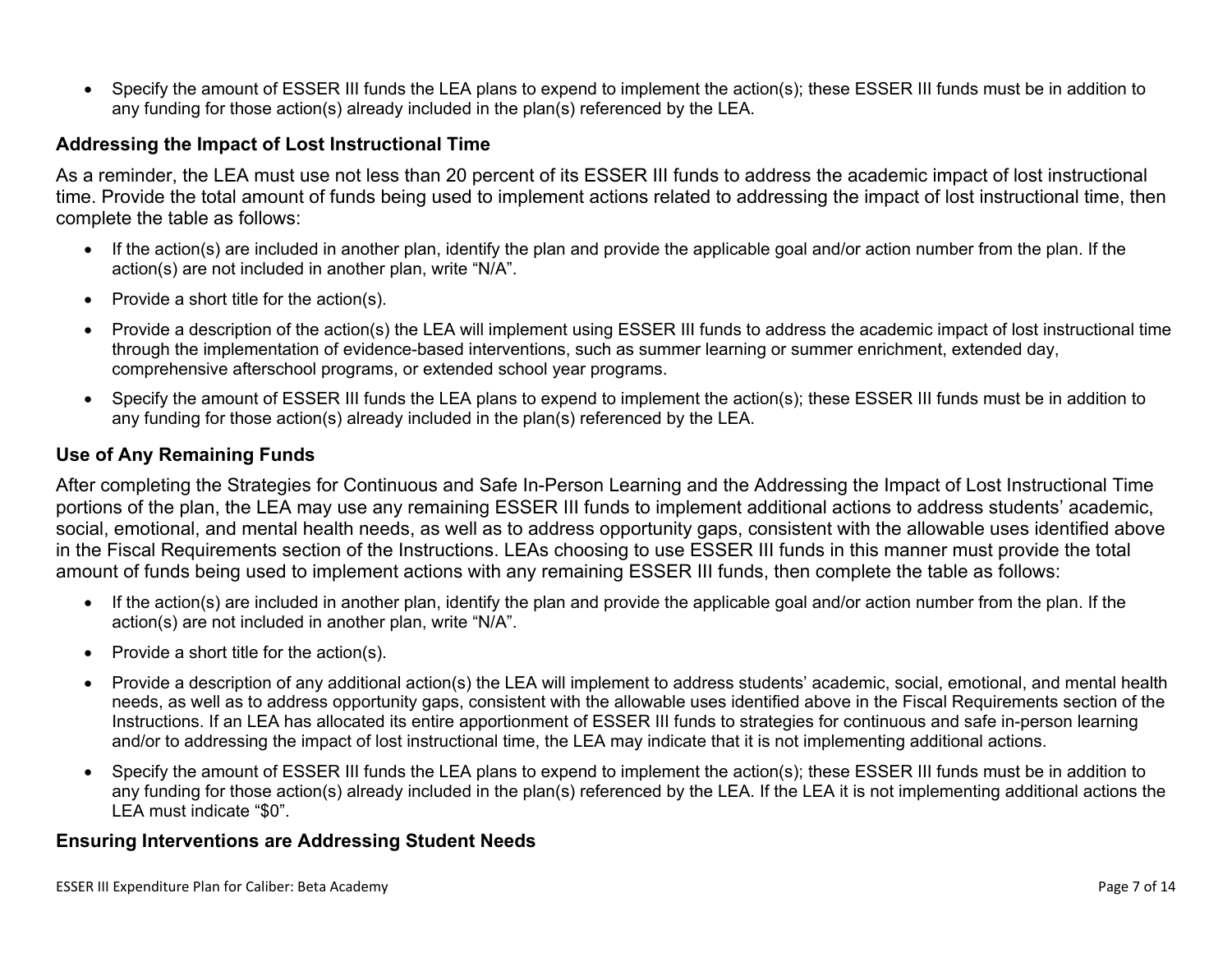Specify the amount of ESSER III funds the LEA plans to expend to implement the action(s); these ESSER III funds must be in addition to any funding for those action(s) already included in the plan(s) referenced by the LEA.

#### <span id="page-12-0"></span>**Addressing the Impact of Lost Instructional Time**

As a reminder, the LEA must use not less than 20 percent of its ESSER III funds to address the academic impact of lost instructional time. Provide the total amount of funds being used to implement actions related to addressing the impact of lost instructional time, then complete the table as follows:

- If the action(s) are included in another plan, identify the plan and provide the applicable goal and/or action number from the plan. If the action(s) are not included in another plan, write "N/A".
- Provide a short title for the  $action(s)$ .
- Provide a description of the action(s) the LEA will implement using ESSER III funds to address the academic impact of lost instructional time through the implementation of evidence-based interventions, such as summer learning or summer enrichment, extended day, comprehensive afterschool programs, or extended school year programs.
- Specify the amount of ESSER III funds the LEA plans to expend to implement the action(s); these ESSER III funds must be in addition to any funding for those action(s) already included in the plan(s) referenced by the LEA.

#### <span id="page-12-1"></span>**Use of Any Remaining Funds**

After completing the Strategies for Continuous and Safe In-Person Learning and the Addressing the Impact of Lost Instructional Time portions of the plan, the LEA may use any remaining ESSER III funds to implement additional actions to address students' academic, social, emotional, and mental health needs, as well as to address opportunity gaps, consistent with the allowable uses identified above in the Fiscal Requirements section of the Instructions. LEAs choosing to use ESSER III funds in this manner must provide the total amount of funds being used to implement actions with any remaining ESSER III funds, then complete the table as follows:

- If the action(s) are included in another plan, identify the plan and provide the applicable goal and/or action number from the plan. If the action(s) are not included in another plan, write "N/A".
- Provide a short title for the  $action(s)$ .
- Provide a description of any additional action(s) the LEA will implement to address students' academic, social, emotional, and mental health needs, as well as to address opportunity gaps, consistent with the allowable uses identified above in the Fiscal Requirements section of the Instructions. If an LEA has allocated its entire apportionment of ESSER III funds to strategies for continuous and safe in-person learning and/or to addressing the impact of lost instructional time, the LEA may indicate that it is not implementing additional actions.
- Specify the amount of ESSER III funds the LEA plans to expend to implement the action(s); these ESSER III funds must be in addition to any funding for those action(s) already included in the plan(s) referenced by the LEA. If the LEA it is not implementing additional actions the LEA must indicate "\$0".

#### <span id="page-12-2"></span>**Ensuring Interventions are Addressing Student Needs**